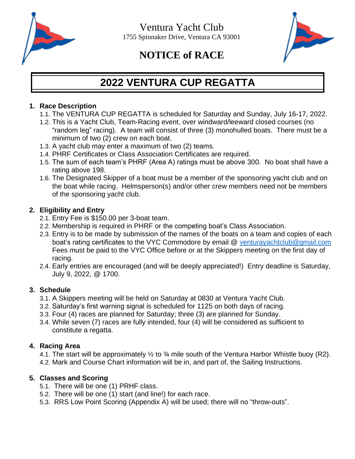



# **NOTICE of RACE**

# **2022 VENTURA CUP REGATTA**

#### **1. Race Description**

- 1.1. The VENTURA CUP REGATTA is scheduled for Saturday and Sunday, July 16-17, 2022.
- 1.2. This is a Yacht Club, Team-Racing event, over windward/leeward closed courses (no "random leg" racing). A team will consist of three (3) monohulled boats. There must be a minimum of two (2) crew on each boat.
- 1.3. A yacht club may enter a maximum of two (2) teams.
- 1.4. PHRF Certificates or Class Association Certificates are required.
- 1.5. The sum of each team's PHRF (Area A) ratings must be above 300. No boat shall have a rating above 198.
- 1.6. The Designated Skipper of a boat must be a member of the sponsoring yacht club and on the boat while racing. Helmsperson(s) and/or other crew members need not be members of the sponsoring yacht club.

## **2. Eligibility and Entry**

- 2.1. Entry Fee is \$150.00 per 3-boat team.
- 2.2. Membership is required in PHRF or the competing boat's Class Association.
- 2.3. Entry is to be made by submission of the names of the boats on a team and copies of each boat's rating certificates to the VYC Commodore by email @ [venturayachtclub@gmail.com](mailto:venturayachtclub@gmail.com) Fees must be paid to the VYC Office before or at the Skippers meeting on the first day of racing.
- 2.4. Early entries are encouraged (and will be deeply appreciated!) Entry deadline is Saturday, July 9, 2022, @ 1700.

## **3. Schedule**

- 3.1. A Skippers meeting will be held on Saturday at 0830 at Ventura Yacht Club.
- 3.2. Saturday's first warning signal is scheduled for 1125 on both days of racing.
- 3.3. Four (4) races are planned for Saturday; three (3) are planned for Sunday.
- 3.4. While seven (7) races are fully intended, four (4) will be considered as sufficient to constitute a regatta.

## **4. Racing Area**

4.1. The start will be approximately  $\frac{1}{2}$  to  $\frac{3}{4}$  mile south of the Ventura Harbor Whistle buoy (R2). 4.2. Mark and Course Chart information will be in, and part of, the Sailing Instructions.

## **5. Classes and Scoring**

- 5.1. There will be one (1) PRHF class.
- 5.2. There will be one (1) start (and line!) for each race.
- 5.3. RRS Low Point Scoring (Appendix A) will be used; there will no "throw-outs".